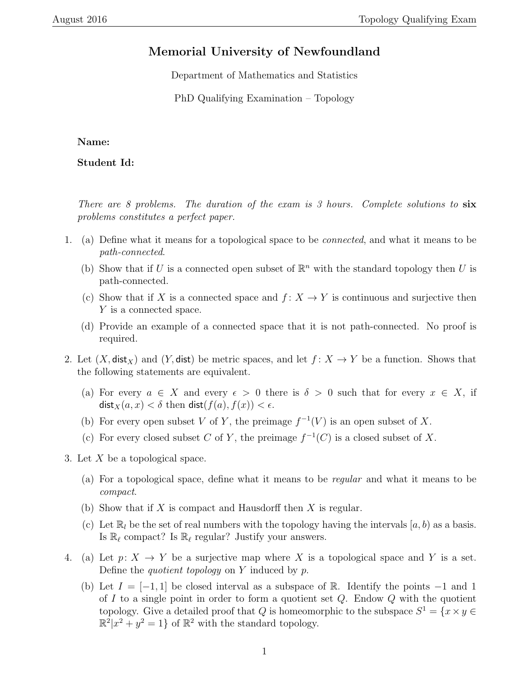## Memorial University of Newfoundland

Department of Mathematics and Statistics

PhD Qualifying Examination – Topology

## Name:

Student Id:

There are 8 problems. The duration of the exam is 3 hours. Complete solutions to  $\boldsymbol{\mathrm{s}\mathrm{x}}$ problems constitutes a perfect paper.

- 1. (a) Define what it means for a topological space to be connected, and what it means to be path-connected.
	- (b) Show that if U is a connected open subset of  $\mathbb{R}^n$  with the standard topology then U is path-connected.
	- (c) Show that if X is a connected space and  $f: X \to Y$  is continuous and surjective then Y is a connected space.
	- (d) Provide an example of a connected space that it is not path-connected. No proof is required.
- 2. Let  $(X, \text{dist}_X)$  and  $(Y, \text{dist})$  be metric spaces, and let  $f: X \to Y$  be a function. Shows that the following statements are equivalent.
	- (a) For every  $a \in X$  and every  $\epsilon > 0$  there is  $\delta > 0$  such that for every  $x \in X$ , if  $dist_X(a, x) < \delta$  then  $dist(f(a), f(x)) < \epsilon$ .
	- (b) For every open subset V of Y, the preimage  $f^{-1}(V)$  is an open subset of X.
	- (c) For every closed subset C of Y, the preimage  $f^{-1}(C)$  is a closed subset of X.
- 3. Let X be a topological space.
	- (a) For a topological space, define what it means to be regular and what it means to be compact.
	- (b) Show that if X is compact and Hausdorff then X is regular.
	- (c) Let  $\mathbb{R}_l$  be the set of real numbers with the topology having the intervals  $[a, b)$  as a basis. Is  $\mathbb{R}_{\ell}$  compact? Is  $\mathbb{R}_{\ell}$  regular? Justify your answers.
- 4. (a) Let  $p: X \to Y$  be a surjective map where X is a topological space and Y is a set. Define the *quotient topology* on Y induced by  $p$ .
	- (b) Let  $I = [-1, 1]$  be closed interval as a subspace of R. Identify the points  $-1$  and 1 of I to a single point in order to form a quotient set  $Q$ . Endow  $Q$  with the quotient topology. Give a detailed proof that Q is homeomorphic to the subspace  $S^1 = \{x \times y \in$  $\mathbb{R}^2 | x^2 + y^2 = 1$  of  $\mathbb{R}^2$  with the standard topology.